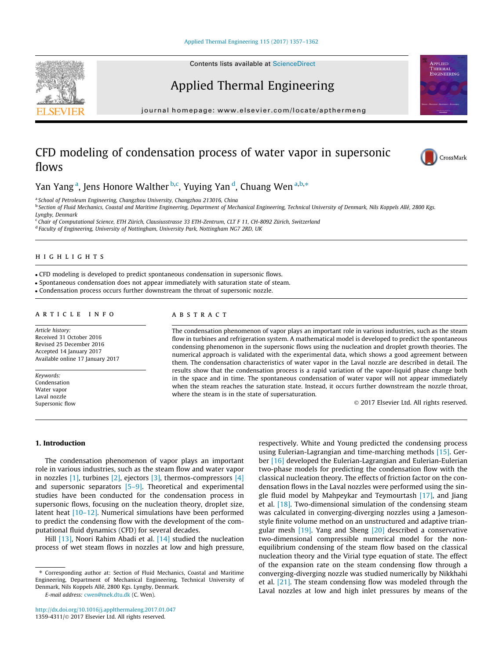Applied Thermal Engineering

journal homepage: [www.elsevier.com/locate/apthermeng](http://www.elsevier.com/locate/apthermeng)

# CFD modeling of condensation process of water vapor in supersonic flows



**APPLIED<br>THERMAL** EMCINEEPING

# Yan Yang <sup>a</sup>, Jens Honore Walther <sup>b,c</sup>, Yuying Yan <sup>d</sup>, Chuang Wen <sup>a,b,</sup>\*

<sup>a</sup> School of Petroleum Engineering, Changzhou University, Changzhou 213016, China

<sup>b</sup> Section of Fluid Mechanics, Coastal and Maritime Engineering, Department of Mechanical Engineering, Technical University of Denmark, Nils Koppels Allé, 2800 Kgs. Lyngby, Denmark

<sup>c</sup> Chair of Computational Science, ETH Zürich, Clausiusstrasse 33 ETH-Zentrum, CLT F 11, CH-8092 Zürich, Switzerland <sup>d</sup> Faculty of Engineering, University of Nottingham, University Park, Nottingham NG7 2RD, UK

# highlights are the control of the control of

CFD modeling is developed to predict spontaneous condensation in supersonic flows.

Spontaneous condensation does not appear immediately with saturation state of steam.

Condensation process occurs further downstream the throat of supersonic nozzle.

Article history: Received 31 October 2016 Revised 25 December 2016 Accepted 14 January 2017 Available online 17 January 2017

Keywords: Condensation Water vapor Laval nozzle Supersonic flow

The condensation phenomenon of vapor plays an important role in various industries, such as the steam flow in turbines and refrigeration system. A mathematical model is developed to predict the spontaneous condensing phenomenon in the supersonic flows using the nucleation and droplet growth theories. The numerical approach is validated with the experimental data, which shows a good agreement between them. The condensation characteristics of water vapor in the Laval nozzle are described in detail. The results show that the condensation process is a rapid variation of the vapor-liquid phase change both in the space and in time. The spontaneous condensation of water vapor will not appear immediately when the steam reaches the saturation state. Instead, it occurs further downstream the nozzle throat, where the steam is in the state of supersaturation.

2017 Elsevier Ltd. All rights reserved.

## 1. Introduction

The condensation phenomenon of vapor plays an important role in various industries, such as the steam flow and water vapor in nozzles  $[1]$ , turbines  $[2]$ , ejectors  $[3]$ , thermos-compressors  $[4]$ and supersonic separators  $[5-9]$ . Theoretical and experimental studies have been conducted for the condensation process in supersonic flows, focusing on the nucleation theory, droplet size, latent heat [\[10–12\].](#page-4-0) Numerical simulations have been performed to predict the condensing flow with the development of the computational fluid dynamics (CFD) for several decades.

Hill [\[13\]](#page-5-0), Noori Rahim Abadi et al. [\[14\]](#page-5-0) studied the nucleation process of wet steam flows in nozzles at low and high pressure,

⇑ Corresponding author at: Section of Fluid Mechanics, Coastal and Maritime Engineering, Department of Mechanical Engineering, Technical University of Denmark, Nils Koppels Allé, 2800 Kgs. Lyngby, Denmark.

E-mail address: [cwen@mek.dtu.dk](mailto:cwen@mek.dtu.dk) (C. Wen).

<http://dx.doi.org/10.1016/j.applthermaleng.2017.01.047> 1359-4311/@ 2017 Elsevier Ltd. All rights reserved.

respectively. White and Young predicted the condensing process using Eulerian-Lagrangian and time-marching methods [\[15\]](#page-5-0). Gerber [\[16\]](#page-5-0) developed the Eulerian-Lagrangian and Eulerian-Eulerian two-phase models for predicting the condensation flow with the classical nucleation theory. The effects of friction factor on the condensation flows in the Laval nozzles were performed using the single fluid model by Mahpeykar and Teymourtash [\[17\],](#page-5-0) and Jiang et al. [\[18\]](#page-5-0). Two-dimensional simulation of the condensing steam was calculated in converging-diverging nozzles using a Jamesonstyle finite volume method on an unstructured and adaptive triangular mesh  $[19]$ . Yang and Sheng  $[20]$  described a conservative two-dimensional compressible numerical model for the nonequilibrium condensing of the steam flow based on the classical nucleation theory and the Virial type equation of state. The effect of the expansion rate on the steam condensing flow through a converging-diverging nozzle was studied numerically by Nikkhahi et al. [\[21\]](#page-5-0). The steam condensing flow was modeled through the Laval nozzles at low and high inlet pressures by means of the

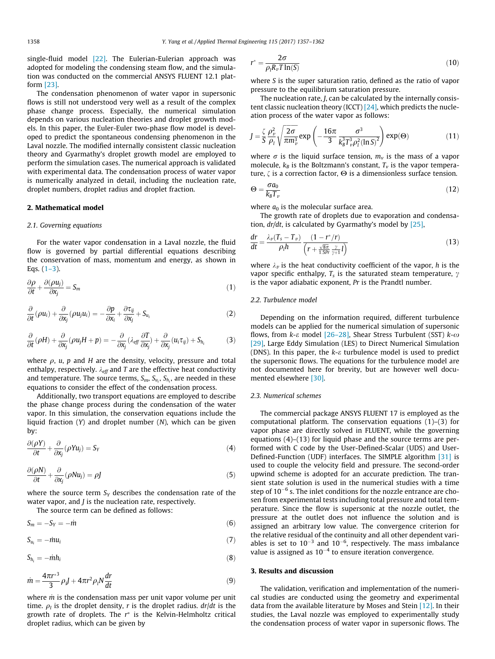single-fluid model  $[22]$ . The Eulerian-Eulerian approach was adopted for modeling the condensing steam flow, and the simulation was conducted on the commercial ANSYS FLUENT 12.1 platform [\[23\]](#page-5-0).

The condensation phenomenon of water vapor in supersonic flows is still not understood very well as a result of the complex phase change process. Especially, the numerical simulation depends on various nucleation theories and droplet growth models. In this paper, the Euler-Euler two-phase flow model is developed to predict the spontaneous condensing phenomenon in the Laval nozzle. The modified internally consistent classic nucleation theory and Gyarmathy's droplet growth model are employed to perform the simulation cases. The numerical approach is validated with experimental data. The condensation process of water vapor is numerically analyzed in detail, including the nucleation rate, droplet numbers, droplet radius and droplet fraction.

### 2. Mathematical model

#### 2.1. Governing equations

For the water vapor condensation in a Laval nozzle, the fluid flow is governed by partial differential equations describing the conservation of mass, momentum and energy, as shown in Eqs.  $(1-3)$ .

$$
\frac{\partial \rho}{\partial t} + \frac{\partial (\rho u_j)}{\partial x_j} = S_m \tag{1}
$$

$$
\frac{\partial}{\partial t}(\rho u_i) + \frac{\partial}{\partial x_j}(\rho u_j u_i) = -\frac{\partial p}{\partial x_i} + \frac{\partial \tau_{ij}}{\partial x_j} + S_{u_i}
$$
(2)

$$
\frac{\partial}{\partial t}(\rho H) + \frac{\partial}{\partial x_j}(\rho u_j H + p) = -\frac{\partial}{\partial x_j}(\lambda_{eff} \frac{\partial T}{\partial x_j}) + \frac{\partial}{\partial x_j}(u_i \tau_{ij}) + S_{h_i}
$$
(3)

where  $\rho$ , u, p and H are the density, velocity, pressure and total enthalpy, respectively.  $\lambda_{\text{eff}}$  and T are the effective heat conductivity and temperature. The source terms,  $S_m$ ,  $S_{u_i}$ ,  $S_{h_i}$ , are needed in these equations to consider the effect of the condensation process.

Additionally, two transport equations are employed to describe the phase change process during the condensation of the water vapor. In this simulation, the conservation equations include the liquid fraction  $(Y)$  and droplet number  $(N)$ , which can be given by:

$$
\frac{\partial(\rho Y)}{\partial t} + \frac{\partial}{\partial x_j}(\rho Y u_j) = S_Y \tag{4}
$$

$$
\frac{\partial(\rho N)}{\partial t} + \frac{\partial}{\partial x_j}(\rho N u_j) = \rho J \tag{5}
$$

where the source term  $S_Y$  describes the condensation rate of the water vapor, and *J* is the nucleation rate, respectively.

The source term can be defined as follows:

$$
S_m = -S_Y = -\dot{m} \tag{6}
$$

$$
S_{u_i} = -\dot{m}u_i \tag{7}
$$

$$
S_{h_i} = -\dot{m}h_i \tag{8}
$$

$$
\dot{m} = \frac{4\pi r^{3}}{3} \rho J + 4\pi r^{2} \rho_{l} N \frac{dr}{dt}
$$
\n(9)

where  $\dot{m}$  is the condensation mass per unit vapor volume per unit time.  $\rho_l$  is the droplet density, r is the droplet radius.  $dr/dt$  is the growth rate of droplets. The r ⁄ is the Kelvin-Helmholtz critical droplet radius, which can be given by

$$
r^* = \frac{2\sigma}{\rho_l R_v T \ln(S)}\tag{10}
$$

where S is the super saturation ratio, defined as the ratio of vapor pressure to the equilibrium saturation pressure.

The nucleation rate, J, can be calculated by the internally consistent classic nucleation theory (ICCT) [\[24\],](#page-5-0) which predicts the nucleation process of the water vapor as follows:

$$
J = \frac{\zeta}{S} \frac{\rho_v^2}{\rho_l} \sqrt{\frac{2\sigma}{\pi m_v^3}} \exp\left(-\frac{16\pi}{3} \frac{\sigma^3}{k_B^3 T_v^3 \rho_l^2 (\ln S)^2}\right) \exp(\Theta) \tag{11}
$$

where  $\sigma$  is the liquid surface tension,  $m<sub>v</sub>$  is the mass of a vapor molecule,  $k_B$  is the Boltzmann's constant,  $T_v$  is the vapor temperature,  $\zeta$  is a correction factor,  $\Theta$  is a dimensionless surface tension.

$$
\Theta = \frac{\sigma a_0}{k_B T_v} \tag{12}
$$

where  $a_0$  is the molecular surface area.

The growth rate of droplets due to evaporation and condensation,  $dr/dt$ , is calculated by Gyarmathy's model by  $[25]$ ,

$$
\frac{dr}{dt} = \frac{\lambda_v (T_s - T_v)}{\rho_l h} \frac{(1 - r^*/r)}{\left(r + \frac{\sqrt{8\pi}}{1.5 Pr} \frac{\gamma}{\gamma + 1}l\right)}
$$
(13)

where  $\lambda_v$  is the heat conductivity coefficient of the vapor, h is the vapor specific enthalpy,  $T_s$  is the saturated steam temperature,  $\gamma$ is the vapor adiabatic exponent, Pr is the Prandtl number.

### 2.2. Turbulence model

Depending on the information required, different turbulence models can be applied for the numerical simulation of supersonic flows, from  $k$ - $\varepsilon$  model [\[26–28\]](#page-5-0), Shear Stress Turbulent (SST)  $k$ - $\omega$ [\[29\]](#page-5-0), Large Eddy Simulation (LES) to Direct Numerical Simulation (DNS). In this paper, the  $k$ - $\varepsilon$  turbulence model is used to predict the supersonic flows. The equations for the turbulence model are not documented here for brevity, but are however well documented elsewhere [\[30\].](#page-5-0)

## 2.3. Numerical schemes

The commercial package ANSYS FLUENT 17 is employed as the computational platform. The conservation equations (1)–(3) for vapor phase are directly solved in FLUENT, while the governing equations (4)–(13) for liquid phase and the source terms are performed with C code by the User-Defined-Scalar (UDS) and User-Defined-Function (UDF) interfaces. The SIMPLE algorithm [\[31\]](#page-5-0) is used to couple the velocity field and pressure. The second-order upwind scheme is adopted for an accurate prediction. The transient state solution is used in the numerical studies with a time step of  $10^{-6}$  s. The inlet conditions for the nozzle entrance are chosen from experimental tests including total pressure and total temperature. Since the flow is supersonic at the nozzle outlet, the pressure at the outlet does not influence the solution and is assigned an arbitrary low value. The convergence criterion for the relative residual of the continuity and all other dependent variables is set to  $10^{-3}$  and  $10^{-6}$ , respectively. The mass imbalance value is assigned as  $10^{-4}$  to ensure iteration convergence.

# 3. Results and discussion

The validation, verification and implementation of the numerical studies are conducted using the geometry and experimental data from the available literature by Moses and Stein [\[12\].](#page-5-0) In their studies, the Laval nozzle was employed to experimentally study the condensation process of water vapor in supersonic flows. The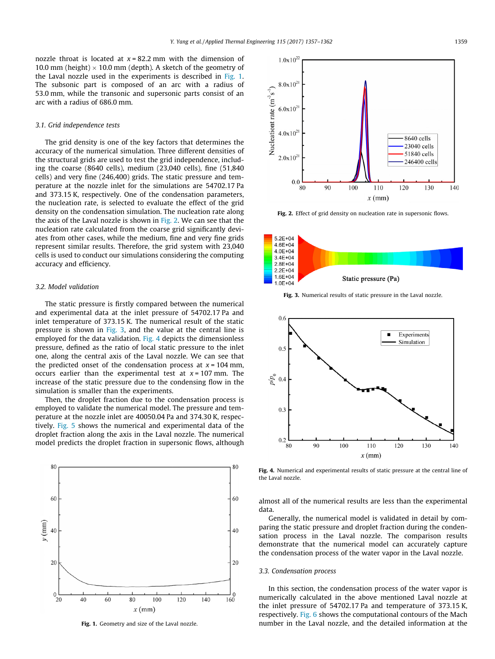nozzle throat is located at  $x = 82.2$  mm with the dimension of 10.0 mm (height)  $\times$  10.0 mm (depth). A sketch of the geometry of the Laval nozzle used in the experiments is described in Fig. 1. The subsonic part is composed of an arc with a radius of 53.0 mm, while the transonic and supersonic parts consist of an arc with a radius of 686.0 mm.

# 3.1. Grid independence tests

The grid density is one of the key factors that determines the accuracy of the numerical simulation. Three different densities of the structural grids are used to test the grid independence, including the coarse (8640 cells), medium (23,040 cells), fine (51,840 cells) and very fine (246,400) grids. The static pressure and temperature at the nozzle inlet for the simulations are 54702.17 Pa and 373.15 K, respectively. One of the condensation parameters, the nucleation rate, is selected to evaluate the effect of the grid density on the condensation simulation. The nucleation rate along the axis of the Laval nozzle is shown in Fig. 2. We can see that the nucleation rate calculated from the coarse grid significantly deviates from other cases, while the medium, fine and very fine grids represent similar results. Therefore, the grid system with 23,040 cells is used to conduct our simulations considering the computing accuracy and efficiency.

#### 3.2. Model validation

The static pressure is firstly compared between the numerical and experimental data at the inlet pressure of 54702.17 Pa and inlet temperature of 373.15 K. The numerical result of the static pressure is shown in Fig. 3, and the value at the central line is employed for the data validation. Fig. 4 depicts the dimensionless pressure, defined as the ratio of local static pressure to the inlet one, along the central axis of the Laval nozzle. We can see that the predicted onset of the condensation process at  $x = 104$  mm, occurs earlier than the experimental test at  $x = 107$  mm. The increase of the static pressure due to the condensing flow in the simulation is smaller than the experiments.

Then, the droplet fraction due to the condensation process is employed to validate the numerical model. The pressure and temperature at the nozzle inlet are 40050.04 Pa and 374.30 K, respectively. [Fig. 5](#page-3-0) shows the numerical and experimental data of the droplet fraction along the axis in the Laval nozzle. The numerical model predicts the droplet fraction in supersonic flows, although





Fig. 2. Effect of grid density on nucleation rate in supersonic flows.



Fig. 3. Numerical results of static pressure in the Laval nozzle.



Fig. 4. Numerical and experimental results of static pressure at the central line of the Laval nozzle.

almost all of the numerical results are less than the experimental data.

Generally, the numerical model is validated in detail by comparing the static pressure and droplet fraction during the condensation process in the Laval nozzle. The comparison results demonstrate that the numerical model can accurately capture the condensation process of the water vapor in the Laval nozzle.

#### 3.3. Condensation process

In this section, the condensation process of the water vapor is numerically calculated in the above mentioned Laval nozzle at the inlet pressure of 54702.17 Pa and temperature of 373.15 K, respectively. [Fig. 6](#page-3-0) shows the computational contours of the Mach Fig. 1. Geometry and size of the Laval nozzle. number in the Laval nozzle, and the detailed information at the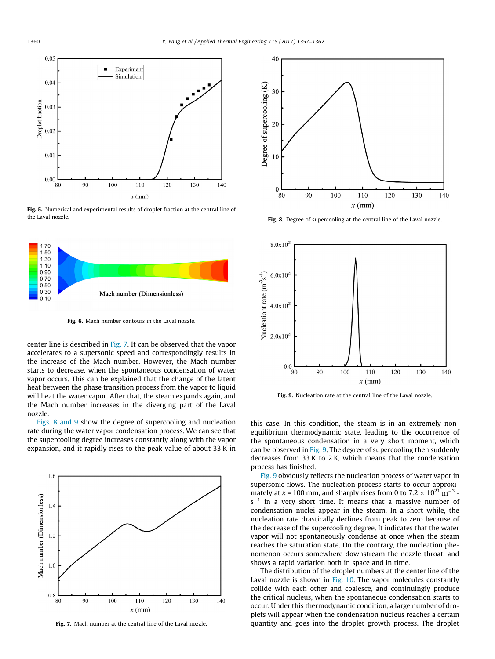<span id="page-3-0"></span>

Fig. 5. Numerical and experimental results of droplet fraction at the central line of the Laval nozzle.



Fig. 6. Mach number contours in the Laval nozzle.

center line is described in Fig. 7. It can be observed that the vapor accelerates to a supersonic speed and correspondingly results in the increase of the Mach number. However, the Mach number starts to decrease, when the spontaneous condensation of water vapor occurs. This can be explained that the change of the latent heat between the phase transition process from the vapor to liquid will heat the water vapor. After that, the steam expands again, and the Mach number increases in the diverging part of the Laval nozzle.

Figs. 8 and 9 show the degree of supercooling and nucleation rate during the water vapor condensation process. We can see that the supercooling degree increases constantly along with the vapor expansion, and it rapidly rises to the peak value of about 33 K in



Fig. 7. Mach number at the central line of the Laval nozzle.



Fig. 8. Degree of supercooling at the central line of the Laval nozzle.



Fig. 9. Nucleation rate at the central line of the Laval nozzle.

this case. In this condition, the steam is in an extremely nonequilibrium thermodynamic state, leading to the occurrence of the spontaneous condensation in a very short moment, which can be observed in Fig. 9. The degree of supercooling then suddenly decreases from 33 K to 2 K, which means that the condensation process has finished.

Fig. 9 obviously reflects the nucleation process of water vapor in supersonic flows. The nucleation process starts to occur approximately at x = 100 mm, and sharply rises from 0 to 7.2  $\times$  10<sup>21</sup> m<sup>-3</sup>  $s^{-1}$  in a very short time. It means that a massive number of condensation nuclei appear in the steam. In a short while, the nucleation rate drastically declines from peak to zero because of the decrease of the supercooling degree. It indicates that the water vapor will not spontaneously condense at once when the steam reaches the saturation state. On the contrary, the nucleation phenomenon occurs somewhere downstream the nozzle throat, and shows a rapid variation both in space and in time.

The distribution of the droplet numbers at the center line of the Laval nozzle is shown in [Fig. 10.](#page-4-0) The vapor molecules constantly collide with each other and coalesce, and continuingly produce the critical nucleus, when the spontaneous condensation starts to occur. Under this thermodynamic condition, a large number of droplets will appear when the condensation nucleus reaches a certain quantity and goes into the droplet growth process. The droplet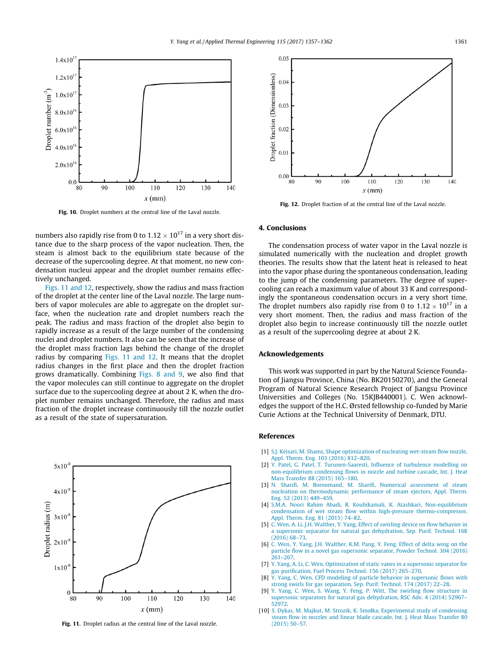<span id="page-4-0"></span>

Fig. 10. Droplet numbers at the central line of the Laval nozzle.

numbers also rapidly rise from 0 to  $1.12 \times 10^{17}$  in a very short distance due to the sharp process of the vapor nucleation. Then, the steam is almost back to the equilibrium state because of the decrease of the supercooling degree. At that moment, no new condensation nucleui appear and the droplet number remains effectively unchanged.

Figs. 11 and 12, respectively, show the radius and mass fraction of the droplet at the center line of the Laval nozzle. The large numbers of vapor molecules are able to aggregate on the droplet surface, when the nucleation rate and droplet numbers reach the peak. The radius and mass fraction of the droplet also begin to rapidly increase as a result of the large number of the condensing nuclei and droplet numbers. It also can be seen that the increase of the droplet mass fraction lags behind the change of the droplet radius by comparing Figs. 11 and 12. It means that the droplet radius changes in the first place and then the droplet fraction grows dramatically. Combining [Figs. 8 and 9,](#page-3-0) we also find that the vapor molecules can still continue to aggregate on the droplet surface due to the supercooling degree at about 2 K, when the droplet number remains unchanged. Therefore, the radius and mass fraction of the droplet increase continuously till the nozzle outlet as a result of the state of supersaturation.



Fig. 11. Droplet radius at the central line of the Laval nozzle.



Fig. 12. Droplet fraction of at the central line of the Laval nozzle.

#### 4. Conclusions

The condensation process of water vapor in the Laval nozzle is simulated numerically with the nucleation and droplet growth theories. The results show that the latent heat is released to heat into the vapor phase during the spontaneous condensation, leading to the jump of the condensing parameters. The degree of supercooling can reach a maximum value of about 33 K and correspondingly the spontaneous condensation occurs in a very short time. The droplet numbers also rapidly rise from 0 to  $1.12 \times 10^{17}$  in a very short moment. Then, the radius and mass fraction of the droplet also begin to increase continuously till the nozzle outlet as a result of the supercooling degree at about 2 K.

# Acknowledgements

This work was supported in part by the Natural Science Foundation of Jiangsu Province, China (No. BK20150270), and the General Program of Natural Science Research Project of Jiangsu Province Universities and Colleges (No. 15KJB440001). C. Wen acknowledges the support of the H.C. Ørsted fellowship co-funded by Marie Curie Actions at the Technical University of Denmark, DTU.

#### References

- [1] [S.J. Keisari, M. Shams, Shape optimization of nucleating wet-steam flow nozzle,](http://refhub.elsevier.com/S1359-4311(17)30298-3/h0005) [Appl. Therm. Eng. 103 \(2016\) 812–820.](http://refhub.elsevier.com/S1359-4311(17)30298-3/h0005)
- [2] [Y. Patel, G. Patel, T. Turunen-Saaresti, Influence of turbulence modelling on](http://refhub.elsevier.com/S1359-4311(17)30298-3/h0010) [non-equilibrium condensing flows in nozzle and turbine cascade, Int. J. Heat](http://refhub.elsevier.com/S1359-4311(17)30298-3/h0010) [Mass Transfer 88 \(2015\) 165–180.](http://refhub.elsevier.com/S1359-4311(17)30298-3/h0010)
- [3] [N. Sharifi, M. Boroomand, M. Sharifi, Numerical assessment of steam](http://refhub.elsevier.com/S1359-4311(17)30298-3/h0015) [nucleation on thermodynamic performance of steam ejectors, Appl. Therm.](http://refhub.elsevier.com/S1359-4311(17)30298-3/h0015) [Eng. 52 \(2013\) 449–459](http://refhub.elsevier.com/S1359-4311(17)30298-3/h0015).
- [4] [S.M.A. Noori Rahim Abadi, R. Kouhikamali, K. Atashkari, Non-equilibrium](http://refhub.elsevier.com/S1359-4311(17)30298-3/h0020) [condensation of wet steam flow within high-pressure thermo-compressor,](http://refhub.elsevier.com/S1359-4311(17)30298-3/h0020) [Appl. Therm. Eng. 81 \(2015\) 74–82.](http://refhub.elsevier.com/S1359-4311(17)30298-3/h0020)
- [5] [C. Wen, A. Li, J.H. Walther, Y. Yang, Effect of swirling device on flow behavior in](http://refhub.elsevier.com/S1359-4311(17)30298-3/h0025) [a supersonic separator for natural gas dehydration, Sep. Purif. Technol. 168](http://refhub.elsevier.com/S1359-4311(17)30298-3/h0025) [\(2016\) 68–73.](http://refhub.elsevier.com/S1359-4311(17)30298-3/h0025)
- [6] [C. Wen, Y. Yang, J.H. Walther, K.M. Pang, Y. Feng, Effect of delta wing on the](http://refhub.elsevier.com/S1359-4311(17)30298-3/h0030) [particle flow in a novel gas supersonic separator, Powder Technol. 304 \(2016\)](http://refhub.elsevier.com/S1359-4311(17)30298-3/h0030) [261–267](http://refhub.elsevier.com/S1359-4311(17)30298-3/h0030).
- [7] [Y. Yang, A. Li, C. Wen, Optimization of static vanes in a supersonic separator for](http://refhub.elsevier.com/S1359-4311(17)30298-3/h0035) [gas purification, Fuel Process Technol. 156 \(2017\) 265–270.](http://refhub.elsevier.com/S1359-4311(17)30298-3/h0035)
- [Y. Yang, C. Wen, CFD modeling of particle behavior in supersonic flows with](http://refhub.elsevier.com/S1359-4311(17)30298-3/h0040) [strong swirls for gas separation, Sep. Purif. Technol. 174 \(2017\) 22–28.](http://refhub.elsevier.com/S1359-4311(17)30298-3/h0040)
- [9] [Y. Yang, C. Wen, S. Wang, Y. Feng, P. Witt, The swirling flow structure in](http://refhub.elsevier.com/S1359-4311(17)30298-3/h0045) [supersonic separators for natural gas dehydration, RSC Adv. 4 \(2014\) 52967–](http://refhub.elsevier.com/S1359-4311(17)30298-3/h0045) [52972.](http://refhub.elsevier.com/S1359-4311(17)30298-3/h0045)
- [10] [S. Dykas, M. Majkut, M. Strozik, K. Smołka, Experimental study of condensing](http://refhub.elsevier.com/S1359-4311(17)30298-3/h0050) [steam flow in nozzles and linear blade cascade, Int. J. Heat Mass Transfer 80](http://refhub.elsevier.com/S1359-4311(17)30298-3/h0050) [\(2015\) 50–57](http://refhub.elsevier.com/S1359-4311(17)30298-3/h0050).